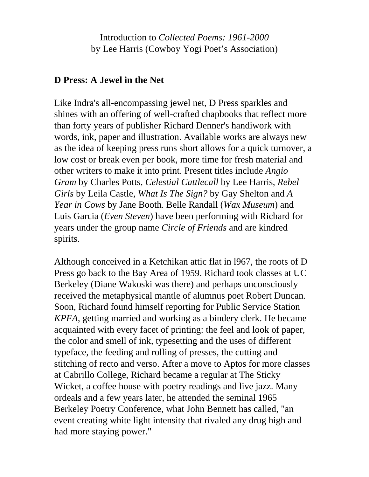Introduction to *Collected Poems: 1961-2000* by Lee Harris (Cowboy Yogi Poet's Association)

## **D Press: A Jewel in the Net**

Like Indra's all-encompassing jewel net, D Press sparkles and shines with an offering of well-crafted chapbooks that reflect more than forty years of publisher Richard Denner's handiwork with words, ink, paper and illustration. Available works are always new as the idea of keeping press runs short allows for a quick turnover, a low cost or break even per book, more time for fresh material and other writers to make it into print. Present titles include *Angio Gram* by Charles Potts, *Celestial Cattlecall* by Lee Harris, *Rebel Girls* by Leila Castle, *What Is The Sign?* by Gay Shelton and *A Year in Cows* by Jane Booth. Belle Randall (*Wax Museum*) and Luis Garcia (*Even Steven*) have been performing with Richard for years under the group name *Circle of Friends* and are kindred spirits.

Although conceived in a Ketchikan attic flat in l967, the roots of D Press go back to the Bay Area of 1959. Richard took classes at UC Berkeley (Diane Wakoski was there) and perhaps unconsciously received the metaphysical mantle of alumnus poet Robert Duncan. Soon, Richard found himself reporting for Public Service Station *KPFA*, getting married and working as a bindery clerk. He became acquainted with every facet of printing: the feel and look of paper, the color and smell of ink, typesetting and the uses of different typeface, the feeding and rolling of presses, the cutting and stitching of recto and verso. After a move to Aptos for more classes at Cabrillo College, Richard became a regular at The Sticky Wicket, a coffee house with poetry readings and live jazz. Many ordeals and a few years later, he attended the seminal 1965 Berkeley Poetry Conference, what John Bennett has called, "an event creating white light intensity that rivaled any drug high and had more staying power."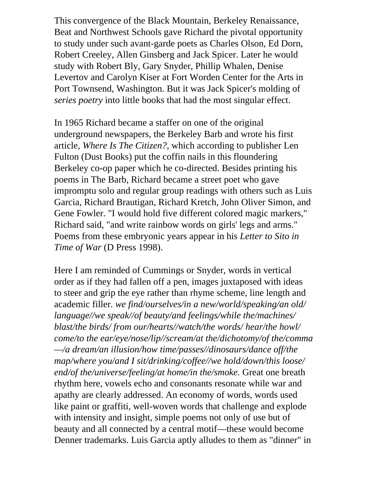This convergence of the Black Mountain, Berkeley Renaissance, Beat and Northwest Schools gave Richard the pivotal opportunity to study under such avant-garde poets as Charles Olson, Ed Dorn, Robert Creeley, Allen Ginsberg and Jack Spicer. Later he would study with Robert Bly, Gary Snyder, Phillip Whalen, Denise Levertov and Carolyn Kiser at Fort Worden Center for the Arts in Port Townsend, Washington. But it was Jack Spicer's molding of *series poetry* into little books that had the most singular effect.

In 1965 Richard became a staffer on one of the original underground newspapers, the Berkeley Barb and wrote his first article, *Where Is The Citizen?*, which according to publisher Len Fulton (Dust Books) put the coffin nails in this floundering Berkeley co-op paper which he co-directed. Besides printing his poems in The Barb, Richard became a street poet who gave impromptu solo and regular group readings with others such as Luis Garcia, Richard Brautigan, Richard Kretch, John Oliver Simon, and Gene Fowler. "I would hold five different colored magic markers," Richard said, "and write rainbow words on girls' legs and arms." Poems from these embryonic years appear in his *Letter to Sito in Time of War* (D Press 1998).

Here I am reminded of Cummings or Snyder, words in vertical order as if they had fallen off a pen, images juxtaposed with ideas to steer and grip the eye rather than rhyme scheme, line length and academic filler. *we find/ourselves/in a new/world/speaking/an old/ language//we speak//of beauty/and feelings/while the/machines/ blast/the birds/ from our/hearts//watch/the words/ hear/the howl/ come/to the ear/eye/nose/lip//scream/at the/dichotomy/of the/comma —/a dream/an illusion/how time/passes//dinosaurs/dance off/the map/where you/and I sit/drinking/coffee//we hold/down/this loose/ end/of the/universe/feeling/at home/in the/smoke.* Great one breath rhythm here, vowels echo and consonants resonate while war and apathy are clearly addressed. An economy of words, words used like paint or graffiti, well-woven words that challenge and explode with intensity and insight, simple poems not only of use but of beauty and all connected by a central motif—these would become Denner trademarks. Luis Garcia aptly alludes to them as "dinner" in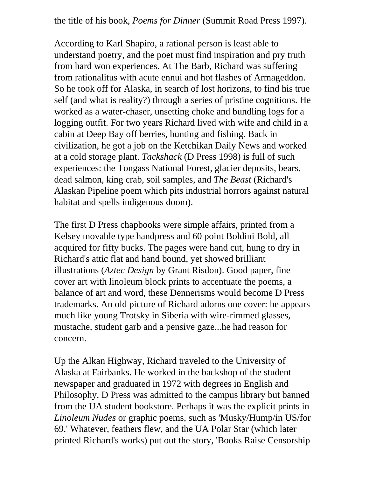the title of his book, *Poems for Dinner* (Summit Road Press 1997).

According to Karl Shapiro, a rational person is least able to understand poetry, and the poet must find inspiration and pry truth from hard won experiences. At The Barb, Richard was suffering from rationalitus with acute ennui and hot flashes of Armageddon. So he took off for Alaska, in search of lost horizons, to find his true self (and what is reality?) through a series of pristine cognitions. He worked as a water-chaser, unsetting choke and bundling logs for a logging outfit. For two years Richard lived with wife and child in a cabin at Deep Bay off berries, hunting and fishing. Back in civilization, he got a job on the Ketchikan Daily News and worked at a cold storage plant. *Tackshack* (D Press 1998) is full of such experiences: the Tongass National Forest, glacier deposits, bears, dead salmon, king crab, soil samples, and *The Beast* (Richard's Alaskan Pipeline poem which pits industrial horrors against natural habitat and spells indigenous doom).

The first D Press chapbooks were simple affairs, printed from a Kelsey movable type handpress and 60 point Boldini Bold, all acquired for fifty bucks. The pages were hand cut, hung to dry in Richard's attic flat and hand bound, yet showed brilliant illustrations (*Aztec Design* by Grant Risdon). Good paper, fine cover art with linoleum block prints to accentuate the poems, a balance of art and word, these Dennerisms would become D Press trademarks. An old picture of Richard adorns one cover: he appears much like young Trotsky in Siberia with wire-rimmed glasses, mustache, student garb and a pensive gaze...he had reason for concern.

Up the Alkan Highway, Richard traveled to the University of Alaska at Fairbanks. He worked in the backshop of the student newspaper and graduated in 1972 with degrees in English and Philosophy. D Press was admitted to the campus library but banned from the UA student bookstore. Perhaps it was the explicit prints in *Linoleum Nudes* or graphic poems, such as 'Musky/Hump/in US/for 69.' Whatever, feathers flew, and the UA Polar Star (which later printed Richard's works) put out the story, 'Books Raise Censorship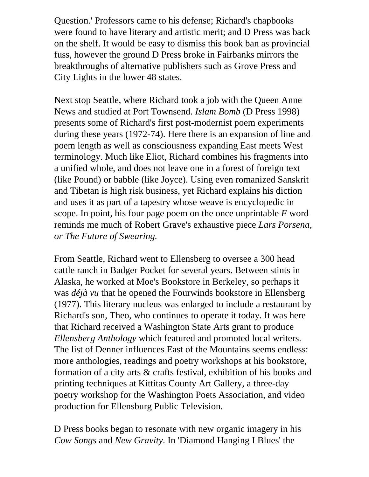Question.' Professors came to his defense; Richard's chapbooks were found to have literary and artistic merit; and D Press was back on the shelf. It would be easy to dismiss this book ban as provincial fuss, however the ground D Press broke in Fairbanks mirrors the breakthroughs of alternative publishers such as Grove Press and City Lights in the lower 48 states.

Next stop Seattle, where Richard took a job with the Queen Anne News and studied at Port Townsend. *Islam Bomb* (D Press 1998) presents some of Richard's first post-modernist poem experiments during these years (1972-74). Here there is an expansion of line and poem length as well as consciousness expanding East meets West terminology. Much like Eliot, Richard combines his fragments into a unified whole, and does not leave one in a forest of foreign text (like Pound) or babble (like Joyce). Using even romanized Sanskrit and Tibetan is high risk business, yet Richard explains his diction and uses it as part of a tapestry whose weave is encyclopedic in scope. In point, his four page poem on the once unprintable *F* word reminds me much of Robert Grave's exhaustive piece *Lars Porsena, or The Future of Swearing.*

From Seattle, Richard went to Ellensberg to oversee a 300 head cattle ranch in Badger Pocket for several years. Between stints in Alaska, he worked at Moe's Bookstore in Berkeley, so perhaps it was *déjà vu* that he opened the Fourwinds bookstore in Ellensberg (1977). This literary nucleus was enlarged to include a restaurant by Richard's son, Theo, who continues to operate it today. It was here that Richard received a Washington State Arts grant to produce *Ellensberg Anthology* which featured and promoted local writers. The list of Denner influences East of the Mountains seems endless: more anthologies, readings and poetry workshops at his bookstore, formation of a city arts & crafts festival, exhibition of his books and printing techniques at Kittitas County Art Gallery, a three-day poetry workshop for the Washington Poets Association, and video production for Ellensburg Public Television.

D Press books began to resonate with new organic imagery in his *Cow Songs* and *New Gravity*. In 'Diamond Hanging I Blues' the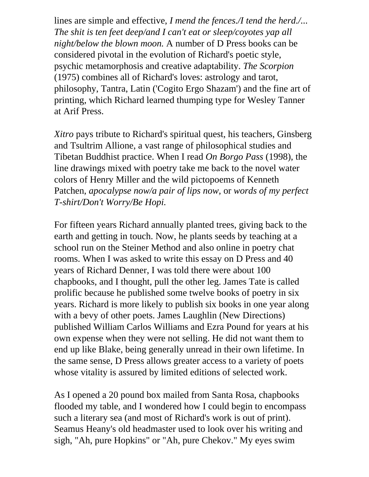lines are simple and effective, *I mend the fences./I tend the herd./... The shit is ten feet deep/and I can't eat or sleep/coyotes yap all night/below the blown moon.* A number of D Press books can be considered pivotal in the evolution of Richard's poetic style, psychic metamorphosis and creative adaptability. *The Scorpion* (1975) combines all of Richard's loves: astrology and tarot, philosophy, Tantra, Latin ('Cogito Ergo Shazam') and the fine art of printing, which Richard learned thumping type for Wesley Tanner at Arif Press.

*Xitro* pays tribute to Richard's spiritual quest, his teachers, Ginsberg and Tsultrim Allione, a vast range of philosophical studies and Tibetan Buddhist practice. When I read *On Borgo Pass* (1998), the line drawings mixed with poetry take me back to the novel water colors of Henry Miller and the wild pictopoems of Kenneth Patchen, *apocalypse now/a pair of lips now,* or *words of my perfect T-shirt/Don't Worry/Be Hopi.*

For fifteen years Richard annually planted trees, giving back to the earth and getting in touch. Now, he plants seeds by teaching at a school run on the Steiner Method and also online in poetry chat rooms. When I was asked to write this essay on D Press and 40 years of Richard Denner, I was told there were about 100 chapbooks, and I thought, pull the other leg. James Tate is called prolific because he published some twelve books of poetry in six years. Richard is more likely to publish six books in one year along with a bevy of other poets. James Laughlin (New Directions) published William Carlos Williams and Ezra Pound for years at his own expense when they were not selling. He did not want them to end up like Blake, being generally unread in their own lifetime. In the same sense, D Press allows greater access to a variety of poets whose vitality is assured by limited editions of selected work.

As I opened a 20 pound box mailed from Santa Rosa, chapbooks flooded my table, and I wondered how I could begin to encompass such a literary sea (and most of Richard's work is out of print). Seamus Heany's old headmaster used to look over his writing and sigh, "Ah, pure Hopkins" or "Ah, pure Chekov." My eyes swim